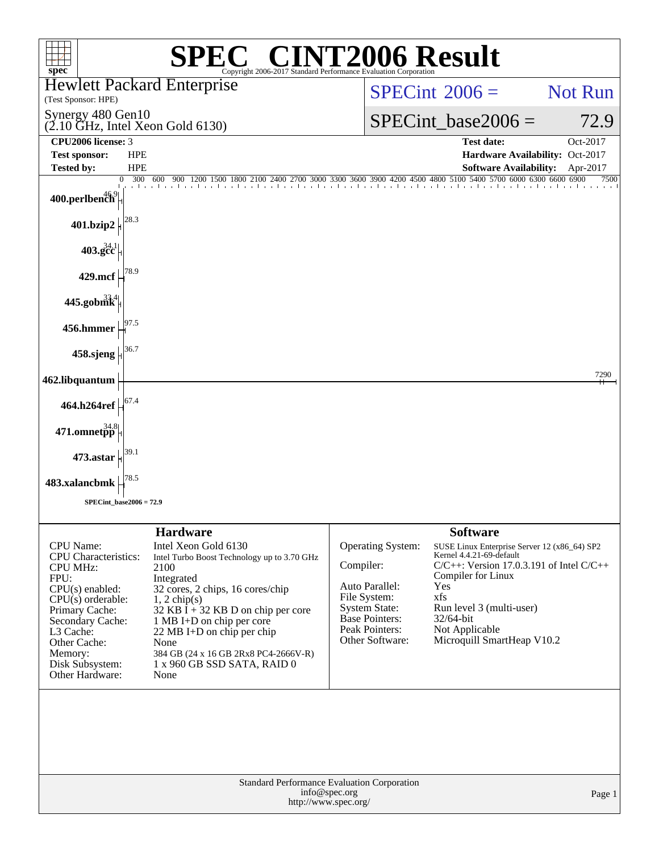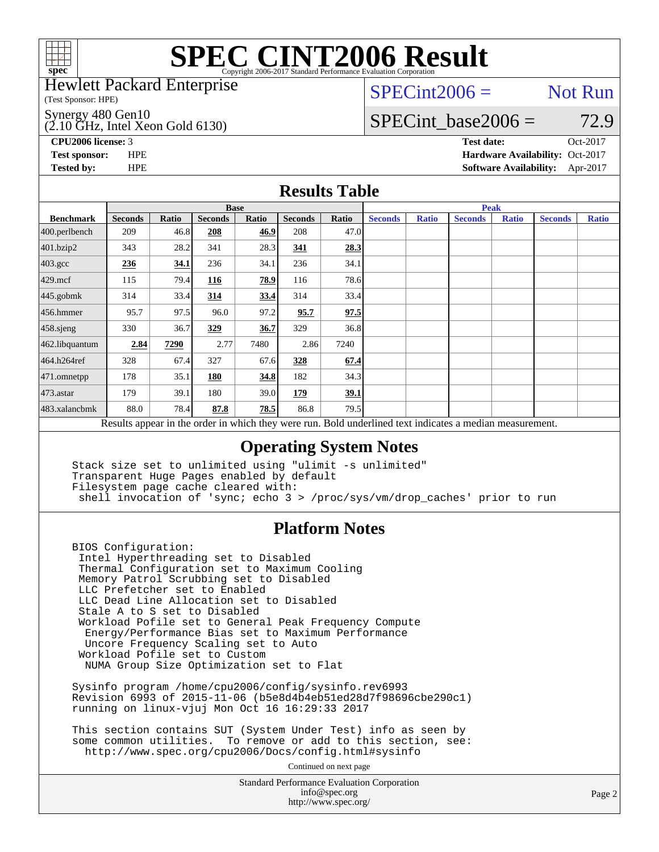

Hewlett Packard Enterprise

(Test Sponsor: HPE)

 $(2.10 \text{ GHz}, \text{Intel Xeon Gold } 6130)$ Synergy 480 Gen10

 $SPECint2006 =$  Not Run

### SPECint base2006 =  $72.9$

**[CPU2006 license:](http://www.spec.org/auto/cpu2006/Docs/result-fields.html#CPU2006license)** 3 **[Test date:](http://www.spec.org/auto/cpu2006/Docs/result-fields.html#Testdate)** Oct-2017

**[Test sponsor:](http://www.spec.org/auto/cpu2006/Docs/result-fields.html#Testsponsor)** HPE **[Hardware Availability:](http://www.spec.org/auto/cpu2006/Docs/result-fields.html#HardwareAvailability)** Oct-2017 **[Tested by:](http://www.spec.org/auto/cpu2006/Docs/result-fields.html#Testedby)** HPE **[Software Availability:](http://www.spec.org/auto/cpu2006/Docs/result-fields.html#SoftwareAvailability)** Apr-2017

#### **[Results Table](http://www.spec.org/auto/cpu2006/Docs/result-fields.html#ResultsTable)**

|                                                                                                          | <b>Base</b>    |              |                |       |                |       | <b>Peak</b>    |              |                |              |                |              |
|----------------------------------------------------------------------------------------------------------|----------------|--------------|----------------|-------|----------------|-------|----------------|--------------|----------------|--------------|----------------|--------------|
| <b>Benchmark</b>                                                                                         | <b>Seconds</b> | <b>Ratio</b> | <b>Seconds</b> | Ratio | <b>Seconds</b> | Ratio | <b>Seconds</b> | <b>Ratio</b> | <b>Seconds</b> | <b>Ratio</b> | <b>Seconds</b> | <b>Ratio</b> |
| 400.perlbench                                                                                            | 209            | 46.8         | 208            | 46.9  | 208            | 47.0  |                |              |                |              |                |              |
| 401.bzip2                                                                                                | 343            | 28.2         | 341            | 28.3  | 341            | 28.3  |                |              |                |              |                |              |
| $403.\mathrm{gcc}$                                                                                       | 236            | 34.1         | 236            | 34.1  | 236            | 34.1  |                |              |                |              |                |              |
| $429$ .mcf                                                                                               | 115            | 79.4         | 116            | 78.9  | 116            | 78.6  |                |              |                |              |                |              |
| $445$ .gobmk                                                                                             | 314            | 33.4         | 314            | 33.4  | 314            | 33.4  |                |              |                |              |                |              |
| $456.$ hmmer                                                                                             | 95.7           | 97.5         | 96.0           | 97.2  | 95.7           | 97.5  |                |              |                |              |                |              |
| $458$ .sjeng                                                                                             | 330            | 36.7         | 329            | 36.7  | 329            | 36.8  |                |              |                |              |                |              |
| 462.libquantum                                                                                           | 2.84           | 7290         | 2.77           | 7480  | 2.86           | 7240  |                |              |                |              |                |              |
| 464.h264ref                                                                                              | 328            | 67.4         | 327            | 67.6  | 328            | 67.4  |                |              |                |              |                |              |
| $ 471$ .omnetpp                                                                                          | 178            | 35.1         | 180            | 34.8  | 182            | 34.3  |                |              |                |              |                |              |
| $473$ . astar                                                                                            | 179            | 39.1         | 180            | 39.0  | 179            | 39.1  |                |              |                |              |                |              |
| 483.xalancbmk                                                                                            | 88.0           | 78.4         | 87.8           | 78.5  | 86.8           | 79.5  |                |              |                |              |                |              |
| Results appear in the order in which they were run. Bold underlined text indicates a median measurement. |                |              |                |       |                |       |                |              |                |              |                |              |

#### **[Operating System Notes](http://www.spec.org/auto/cpu2006/Docs/result-fields.html#OperatingSystemNotes)**

 Stack size set to unlimited using "ulimit -s unlimited" Transparent Huge Pages enabled by default Filesystem page cache cleared with: shell invocation of 'sync; echo 3 > /proc/sys/vm/drop\_caches' prior to run

#### **[Platform Notes](http://www.spec.org/auto/cpu2006/Docs/result-fields.html#PlatformNotes)**

 BIOS Configuration: Intel Hyperthreading set to Disabled Thermal Configuration set to Maximum Cooling Memory Patrol Scrubbing set to Disabled LLC Prefetcher set to Enabled LLC Dead Line Allocation set to Disabled Stale A to S set to Disabled Workload Pofile set to General Peak Frequency Compute Energy/Performance Bias set to Maximum Performance Uncore Frequency Scaling set to Auto Workload Pofile set to Custom NUMA Group Size Optimization set to Flat

 Sysinfo program /home/cpu2006/config/sysinfo.rev6993 Revision 6993 of 2015-11-06 (b5e8d4b4eb51ed28d7f98696cbe290c1) running on linux-vjuj Mon Oct 16 16:29:33 2017

 This section contains SUT (System Under Test) info as seen by some common utilities. To remove or add to this section, see: <http://www.spec.org/cpu2006/Docs/config.html#sysinfo>

Continued on next page

Standard Performance Evaluation Corporation [info@spec.org](mailto:info@spec.org) <http://www.spec.org/>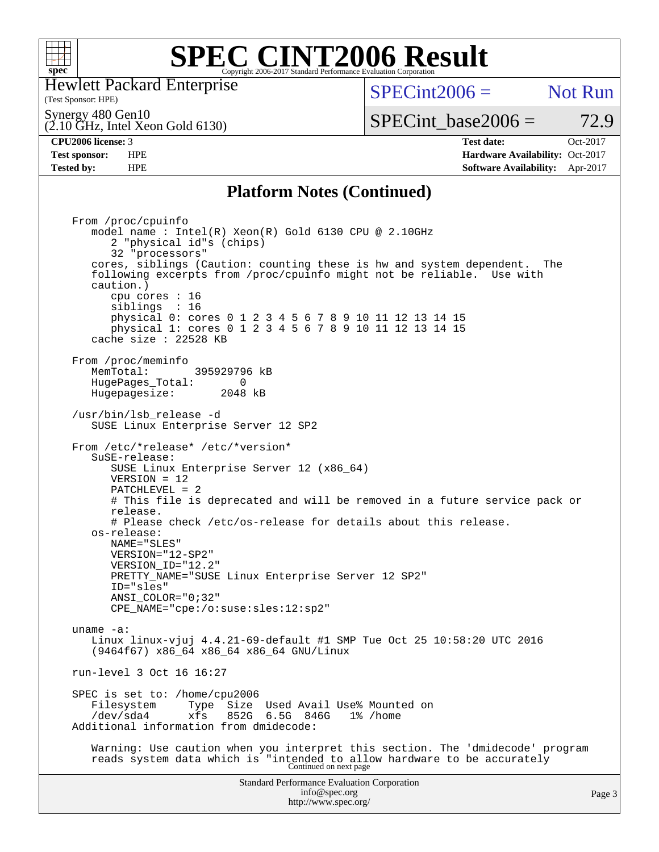

Hewlett Packard Enterprise

(Test Sponsor: HPE)

 $SPECint2006 =$  Not Run

SPECint base2006 =  $72.9$ 

(2.10 GHz, Intel Xeon Gold 6130) Synergy 480 Gen10

**[CPU2006 license:](http://www.spec.org/auto/cpu2006/Docs/result-fields.html#CPU2006license)** 3 **[Test date:](http://www.spec.org/auto/cpu2006/Docs/result-fields.html#Testdate)** Oct-2017 **[Test sponsor:](http://www.spec.org/auto/cpu2006/Docs/result-fields.html#Testsponsor)** HPE **[Hardware Availability:](http://www.spec.org/auto/cpu2006/Docs/result-fields.html#HardwareAvailability)** Oct-2017 **[Tested by:](http://www.spec.org/auto/cpu2006/Docs/result-fields.html#Testedby)** HPE **[Software Availability:](http://www.spec.org/auto/cpu2006/Docs/result-fields.html#SoftwareAvailability)** Apr-2017

#### **[Platform Notes \(Continued\)](http://www.spec.org/auto/cpu2006/Docs/result-fields.html#PlatformNotes)**

Standard Performance Evaluation Corporation [info@spec.org](mailto:info@spec.org) <http://www.spec.org/> From /proc/cpuinfo model name : Intel(R) Xeon(R) Gold 6130 CPU @ 2.10GHz 2 "physical id"s (chips) 32 "processors" cores, siblings (Caution: counting these is hw and system dependent. The following excerpts from /proc/cpuinfo might not be reliable. Use with caution.) cpu cores : 16 siblings : 16 physical 0: cores 0 1 2 3 4 5 6 7 8 9 10 11 12 13 14 15 physical 1: cores 0 1 2 3 4 5 6 7 8 9 10 11 12 13 14 15 cache size : 22528 KB From /proc/meminfo MemTotal: 395929796 kB<br>HugePages Total: 0 HugePages\_Total: 0 Hugepagesize: 2048 kB /usr/bin/lsb\_release -d SUSE Linux Enterprise Server 12 SP2 From /etc/\*release\* /etc/\*version\* SuSE-release: SUSE Linux Enterprise Server 12 (x86\_64) VERSION = 12 PATCHLEVEL = 2 # This file is deprecated and will be removed in a future service pack or release. # Please check /etc/os-release for details about this release. os-release: NAME="SLES" VERSION="12-SP2" VERSION\_ID="12.2" PRETTY\_NAME="SUSE Linux Enterprise Server 12 SP2" ID="sles" ANSI\_COLOR="0;32" CPE\_NAME="cpe:/o:suse:sles:12:sp2" uname -a: Linux linux-vjuj 4.4.21-69-default #1 SMP Tue Oct 25 10:58:20 UTC 2016 (9464f67) x86\_64 x86\_64 x86\_64 GNU/Linux run-level 3 Oct 16 16:27 SPEC is set to: /home/cpu2006<br>Filesystem Type Size Type Size Used Avail Use% Mounted on /dev/sda4 xfs 852G 6.5G 846G 1% /home Additional information from dmidecode: Warning: Use caution when you interpret this section. The 'dmidecode' program reads system data which is "intended to allow hardware to be accurately Continued on next page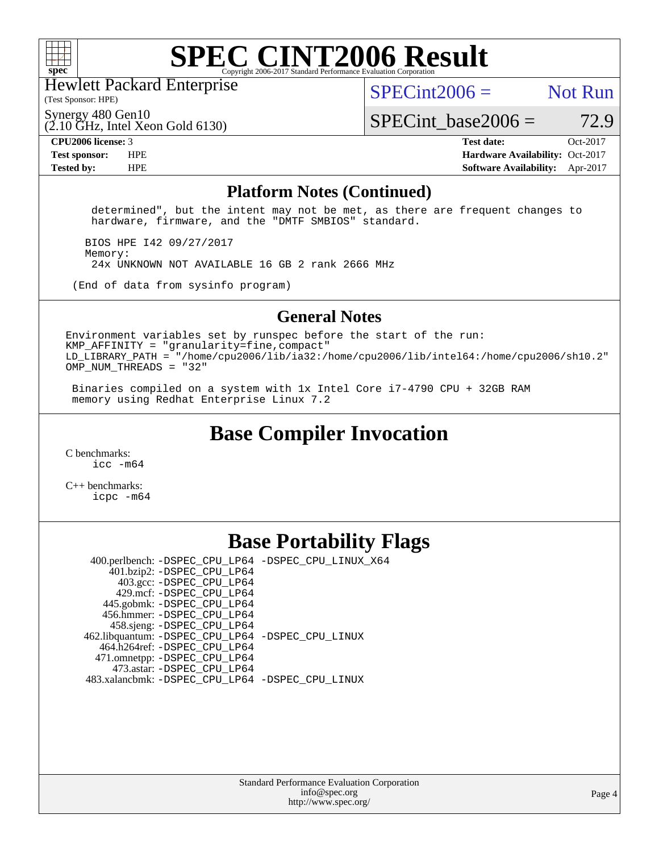

Hewlett Packard Enterprise

(Test Sponsor: HPE)

 $SPECint2006 =$  Not Run

Synergy 480 Gen10

(2.10 GHz, Intel Xeon Gold 6130)

**[Tested by:](http://www.spec.org/auto/cpu2006/Docs/result-fields.html#Testedby)** HPE **[Software Availability:](http://www.spec.org/auto/cpu2006/Docs/result-fields.html#SoftwareAvailability)** Apr-2017

SPECint base2006 =  $72.9$ **[CPU2006 license:](http://www.spec.org/auto/cpu2006/Docs/result-fields.html#CPU2006license)** 3 **[Test date:](http://www.spec.org/auto/cpu2006/Docs/result-fields.html#Testdate)** Oct-2017 **[Test sponsor:](http://www.spec.org/auto/cpu2006/Docs/result-fields.html#Testsponsor)** HPE **[Hardware Availability:](http://www.spec.org/auto/cpu2006/Docs/result-fields.html#HardwareAvailability)** Oct-2017

#### **[Platform Notes \(Continued\)](http://www.spec.org/auto/cpu2006/Docs/result-fields.html#PlatformNotes)**

 determined", but the intent may not be met, as there are frequent changes to hardware, firmware, and the "DMTF SMBIOS" standard.

 BIOS HPE I42 09/27/2017 Memory: 24x UNKNOWN NOT AVAILABLE 16 GB 2 rank 2666 MHz

(End of data from sysinfo program)

#### **[General Notes](http://www.spec.org/auto/cpu2006/Docs/result-fields.html#GeneralNotes)**

Environment variables set by runspec before the start of the run:  $KMP$  AFFINITY = "granularity=fine, compact" LD\_LIBRARY\_PATH = "/home/cpu2006/lib/ia32:/home/cpu2006/lib/intel64:/home/cpu2006/sh10.2" OMP\_NUM\_THREADS = "32"

 Binaries compiled on a system with 1x Intel Core i7-4790 CPU + 32GB RAM memory using Redhat Enterprise Linux 7.2

### **[Base Compiler Invocation](http://www.spec.org/auto/cpu2006/Docs/result-fields.html#BaseCompilerInvocation)**

[C benchmarks](http://www.spec.org/auto/cpu2006/Docs/result-fields.html#Cbenchmarks): [icc -m64](http://www.spec.org/cpu2006/results/res2017q4/cpu2006-20171031-50444.flags.html#user_CCbase_intel_icc_64bit_bda6cc9af1fdbb0edc3795bac97ada53)

[C++ benchmarks:](http://www.spec.org/auto/cpu2006/Docs/result-fields.html#CXXbenchmarks) [icpc -m64](http://www.spec.org/cpu2006/results/res2017q4/cpu2006-20171031-50444.flags.html#user_CXXbase_intel_icpc_64bit_fc66a5337ce925472a5c54ad6a0de310)

### **[Base Portability Flags](http://www.spec.org/auto/cpu2006/Docs/result-fields.html#BasePortabilityFlags)**

 400.perlbench: [-DSPEC\\_CPU\\_LP64](http://www.spec.org/cpu2006/results/res2017q4/cpu2006-20171031-50444.flags.html#b400.perlbench_basePORTABILITY_DSPEC_CPU_LP64) [-DSPEC\\_CPU\\_LINUX\\_X64](http://www.spec.org/cpu2006/results/res2017q4/cpu2006-20171031-50444.flags.html#b400.perlbench_baseCPORTABILITY_DSPEC_CPU_LINUX_X64) 401.bzip2: [-DSPEC\\_CPU\\_LP64](http://www.spec.org/cpu2006/results/res2017q4/cpu2006-20171031-50444.flags.html#suite_basePORTABILITY401_bzip2_DSPEC_CPU_LP64) 403.gcc: [-DSPEC\\_CPU\\_LP64](http://www.spec.org/cpu2006/results/res2017q4/cpu2006-20171031-50444.flags.html#suite_basePORTABILITY403_gcc_DSPEC_CPU_LP64) 429.mcf: [-DSPEC\\_CPU\\_LP64](http://www.spec.org/cpu2006/results/res2017q4/cpu2006-20171031-50444.flags.html#suite_basePORTABILITY429_mcf_DSPEC_CPU_LP64) 445.gobmk: [-DSPEC\\_CPU\\_LP64](http://www.spec.org/cpu2006/results/res2017q4/cpu2006-20171031-50444.flags.html#suite_basePORTABILITY445_gobmk_DSPEC_CPU_LP64) 456.hmmer: [-DSPEC\\_CPU\\_LP64](http://www.spec.org/cpu2006/results/res2017q4/cpu2006-20171031-50444.flags.html#suite_basePORTABILITY456_hmmer_DSPEC_CPU_LP64) 458.sjeng: [-DSPEC\\_CPU\\_LP64](http://www.spec.org/cpu2006/results/res2017q4/cpu2006-20171031-50444.flags.html#suite_basePORTABILITY458_sjeng_DSPEC_CPU_LP64) 462.libquantum: [-DSPEC\\_CPU\\_LP64](http://www.spec.org/cpu2006/results/res2017q4/cpu2006-20171031-50444.flags.html#suite_basePORTABILITY462_libquantum_DSPEC_CPU_LP64) [-DSPEC\\_CPU\\_LINUX](http://www.spec.org/cpu2006/results/res2017q4/cpu2006-20171031-50444.flags.html#b462.libquantum_baseCPORTABILITY_DSPEC_CPU_LINUX) 464.h264ref: [-DSPEC\\_CPU\\_LP64](http://www.spec.org/cpu2006/results/res2017q4/cpu2006-20171031-50444.flags.html#suite_basePORTABILITY464_h264ref_DSPEC_CPU_LP64) 471.omnetpp: [-DSPEC\\_CPU\\_LP64](http://www.spec.org/cpu2006/results/res2017q4/cpu2006-20171031-50444.flags.html#suite_basePORTABILITY471_omnetpp_DSPEC_CPU_LP64) 473.astar: [-DSPEC\\_CPU\\_LP64](http://www.spec.org/cpu2006/results/res2017q4/cpu2006-20171031-50444.flags.html#suite_basePORTABILITY473_astar_DSPEC_CPU_LP64) 483.xalancbmk: [-DSPEC\\_CPU\\_LP64](http://www.spec.org/cpu2006/results/res2017q4/cpu2006-20171031-50444.flags.html#suite_basePORTABILITY483_xalancbmk_DSPEC_CPU_LP64) [-DSPEC\\_CPU\\_LINUX](http://www.spec.org/cpu2006/results/res2017q4/cpu2006-20171031-50444.flags.html#b483.xalancbmk_baseCXXPORTABILITY_DSPEC_CPU_LINUX)

#### Standard Performance Evaluation Corporation [info@spec.org](mailto:info@spec.org) <http://www.spec.org/>